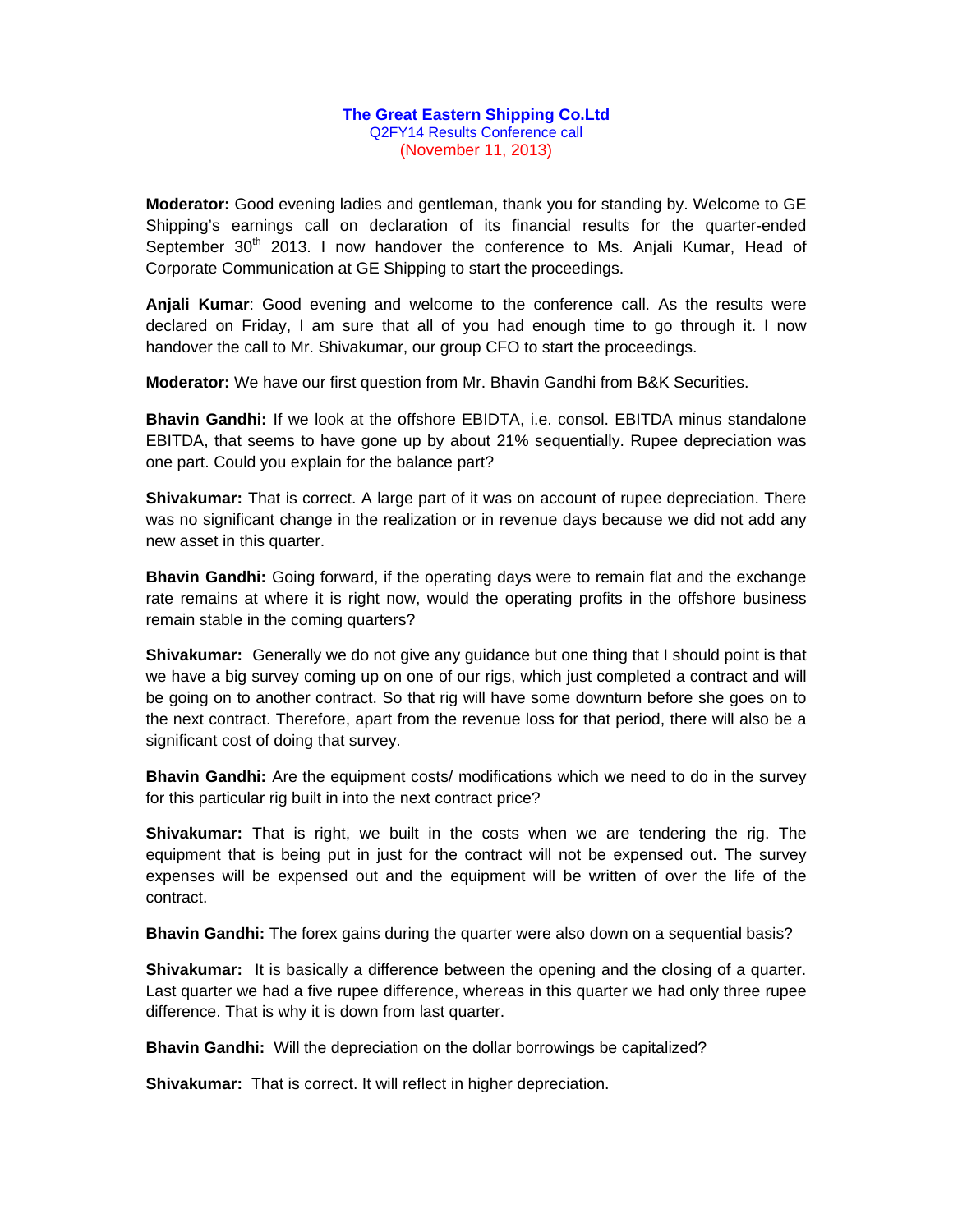## **The Great Eastern Shipping Co.Ltd**  Q2FY14 Results Conference call (November 11, 2013)

**Moderator:** Good evening ladies and gentleman, thank you for standing by. Welcome to GE Shipping's earnings call on declaration of its financial results for the quarter-ended September  $30<sup>th</sup>$  2013. I now handover the conference to Ms. Anjali Kumar, Head of Corporate Communication at GE Shipping to start the proceedings.

**Anjali Kumar**: Good evening and welcome to the conference call. As the results were declared on Friday, I am sure that all of you had enough time to go through it. I now handover the call to Mr. Shivakumar, our group CFO to start the proceedings.

**Moderator:** We have our first question from Mr. Bhavin Gandhi from B&K Securities.

**Bhavin Gandhi:** If we look at the offshore EBIDTA, i.e. consol. EBITDA minus standalone EBITDA, that seems to have gone up by about 21% sequentially. Rupee depreciation was one part. Could you explain for the balance part?

**Shivakumar:** That is correct. A large part of it was on account of rupee depreciation. There was no significant change in the realization or in revenue days because we did not add any new asset in this quarter.

**Bhavin Gandhi:** Going forward, if the operating days were to remain flat and the exchange rate remains at where it is right now, would the operating profits in the offshore business remain stable in the coming quarters?

**Shivakumar:** Generally we do not give any guidance but one thing that I should point is that we have a big survey coming up on one of our rigs, which just completed a contract and will be going on to another contract. So that rig will have some downturn before she goes on to the next contract. Therefore, apart from the revenue loss for that period, there will also be a significant cost of doing that survey.

**Bhavin Gandhi:** Are the equipment costs/ modifications which we need to do in the survey for this particular rig built in into the next contract price?

**Shivakumar:** That is right, we built in the costs when we are tendering the rig. The equipment that is being put in just for the contract will not be expensed out. The survey expenses will be expensed out and the equipment will be written of over the life of the contract.

**Bhavin Gandhi:** The forex gains during the quarter were also down on a sequential basis?

**Shivakumar:** It is basically a difference between the opening and the closing of a quarter. Last quarter we had a five rupee difference, whereas in this quarter we had only three rupee difference. That is why it is down from last quarter.

**Bhavin Gandhi:** Will the depreciation on the dollar borrowings be capitalized?

**Shivakumar:** That is correct. It will reflect in higher depreciation.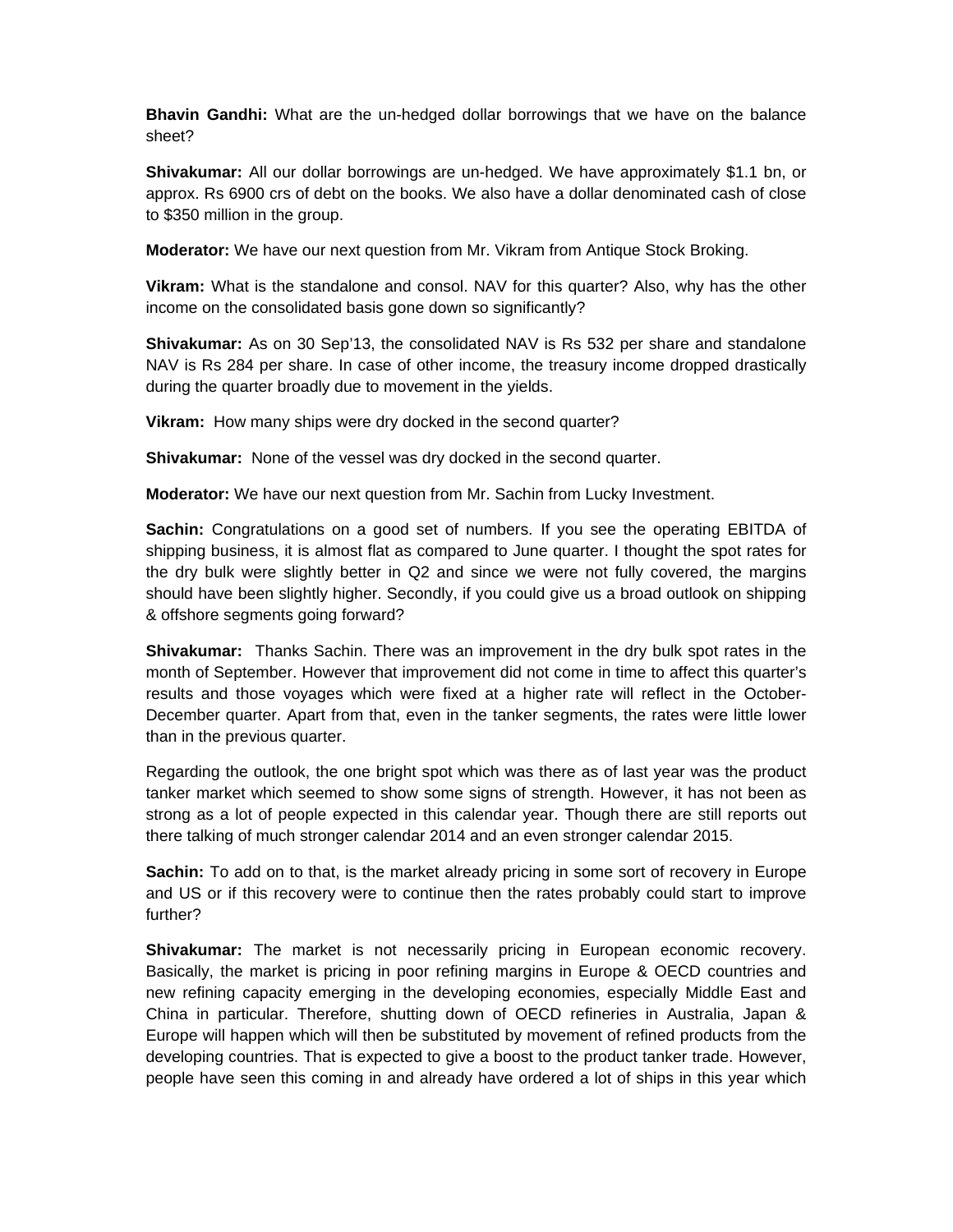**Bhavin Gandhi:** What are the un-hedged dollar borrowings that we have on the balance sheet?

**Shivakumar:** All our dollar borrowings are un-hedged. We have approximately \$1.1 bn, or approx. Rs 6900 crs of debt on the books. We also have a dollar denominated cash of close to \$350 million in the group.

**Moderator:** We have our next question from Mr. Vikram from Antique Stock Broking.

**Vikram:** What is the standalone and consol. NAV for this quarter? Also, why has the other income on the consolidated basis gone down so significantly?

**Shivakumar:** As on 30 Sep'13, the consolidated NAV is Rs 532 per share and standalone NAV is Rs 284 per share. In case of other income, the treasury income dropped drastically during the quarter broadly due to movement in the yields.

**Vikram:** How many ships were dry docked in the second quarter?

**Shivakumar:** None of the vessel was dry docked in the second quarter.

**Moderator:** We have our next question from Mr. Sachin from Lucky Investment.

**Sachin:** Congratulations on a good set of numbers. If you see the operating EBITDA of shipping business, it is almost flat as compared to June quarter. I thought the spot rates for the dry bulk were slightly better in Q2 and since we were not fully covered, the margins should have been slightly higher. Secondly, if you could give us a broad outlook on shipping & offshore segments going forward?

**Shivakumar:** Thanks Sachin. There was an improvement in the dry bulk spot rates in the month of September. However that improvement did not come in time to affect this quarter's results and those voyages which were fixed at a higher rate will reflect in the October-December quarter. Apart from that, even in the tanker segments, the rates were little lower than in the previous quarter.

Regarding the outlook, the one bright spot which was there as of last year was the product tanker market which seemed to show some signs of strength. However, it has not been as strong as a lot of people expected in this calendar year. Though there are still reports out there talking of much stronger calendar 2014 and an even stronger calendar 2015.

**Sachin:** To add on to that, is the market already pricing in some sort of recovery in Europe and US or if this recovery were to continue then the rates probably could start to improve further?

**Shivakumar:** The market is not necessarily pricing in European economic recovery. Basically, the market is pricing in poor refining margins in Europe & OECD countries and new refining capacity emerging in the developing economies, especially Middle East and China in particular. Therefore, shutting down of OECD refineries in Australia, Japan & Europe will happen which will then be substituted by movement of refined products from the developing countries. That is expected to give a boost to the product tanker trade. However, people have seen this coming in and already have ordered a lot of ships in this year which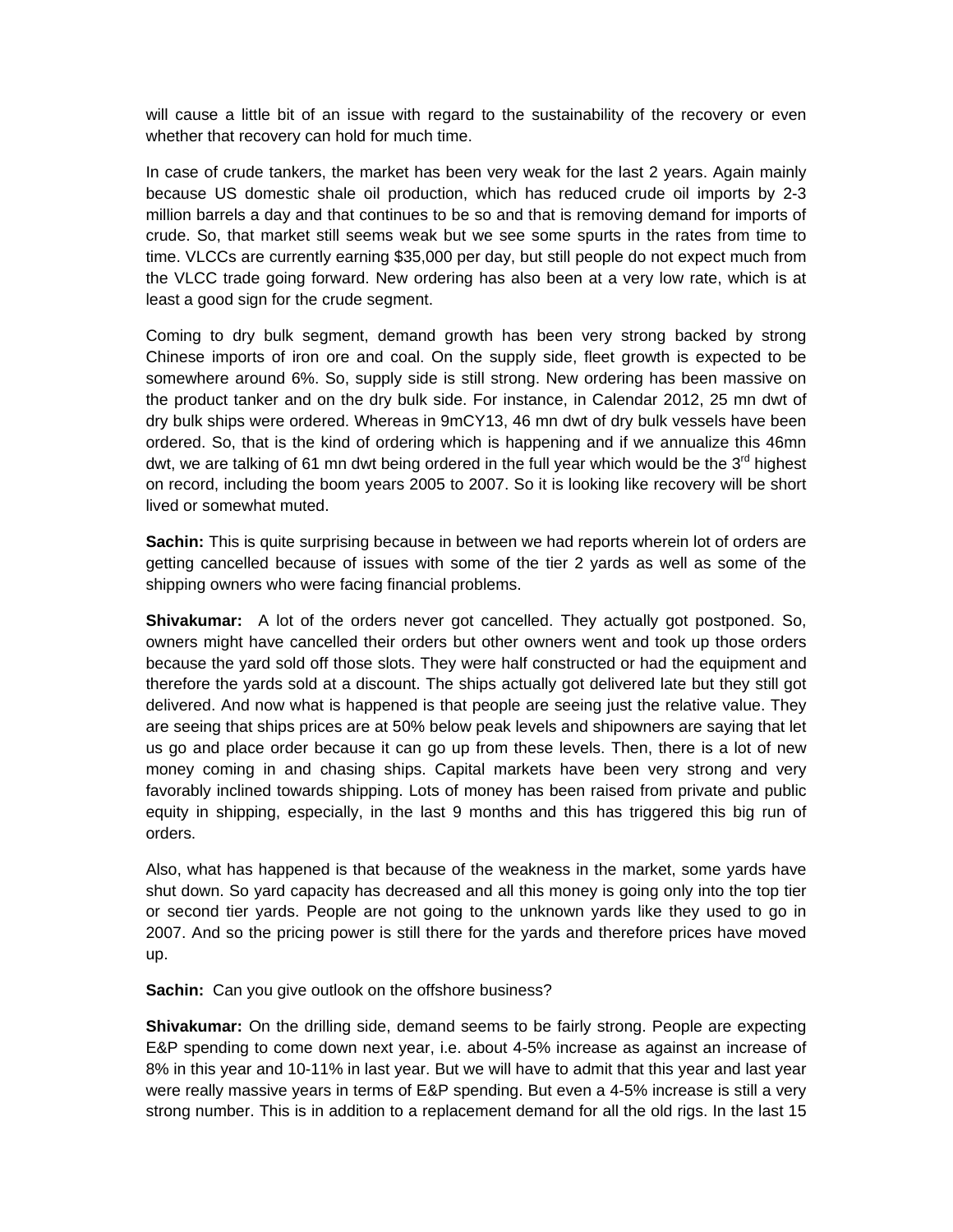will cause a little bit of an issue with regard to the sustainability of the recovery or even whether that recovery can hold for much time.

In case of crude tankers, the market has been very weak for the last 2 years. Again mainly because US domestic shale oil production, which has reduced crude oil imports by 2-3 million barrels a day and that continues to be so and that is removing demand for imports of crude. So, that market still seems weak but we see some spurts in the rates from time to time. VLCCs are currently earning \$35,000 per day, but still people do not expect much from the VLCC trade going forward. New ordering has also been at a very low rate, which is at least a good sign for the crude segment.

Coming to dry bulk segment, demand growth has been very strong backed by strong Chinese imports of iron ore and coal. On the supply side, fleet growth is expected to be somewhere around 6%. So, supply side is still strong. New ordering has been massive on the product tanker and on the dry bulk side. For instance, in Calendar 2012, 25 mn dwt of dry bulk ships were ordered. Whereas in 9mCY13, 46 mn dwt of dry bulk vessels have been ordered. So, that is the kind of ordering which is happening and if we annualize this 46mn dwt, we are talking of 61 mn dwt being ordered in the full year which would be the  $3<sup>rd</sup>$  highest on record, including the boom years 2005 to 2007. So it is looking like recovery will be short lived or somewhat muted.

**Sachin:** This is quite surprising because in between we had reports wherein lot of orders are getting cancelled because of issues with some of the tier 2 yards as well as some of the shipping owners who were facing financial problems.

**Shivakumar:** A lot of the orders never got cancelled. They actually got postponed. So, owners might have cancelled their orders but other owners went and took up those orders because the yard sold off those slots. They were half constructed or had the equipment and therefore the yards sold at a discount. The ships actually got delivered late but they still got delivered. And now what is happened is that people are seeing just the relative value. They are seeing that ships prices are at 50% below peak levels and shipowners are saying that let us go and place order because it can go up from these levels. Then, there is a lot of new money coming in and chasing ships. Capital markets have been very strong and very favorably inclined towards shipping. Lots of money has been raised from private and public equity in shipping, especially, in the last 9 months and this has triggered this big run of orders.

Also, what has happened is that because of the weakness in the market, some yards have shut down. So yard capacity has decreased and all this money is going only into the top tier or second tier yards. People are not going to the unknown yards like they used to go in 2007. And so the pricing power is still there for the yards and therefore prices have moved up.

**Sachin:** Can you give outlook on the offshore business?

**Shivakumar:** On the drilling side, demand seems to be fairly strong. People are expecting E&P spending to come down next year, i.e. about 4-5% increase as against an increase of 8% in this year and 10-11% in last year. But we will have to admit that this year and last year were really massive years in terms of E&P spending. But even a 4-5% increase is still a very strong number. This is in addition to a replacement demand for all the old rigs. In the last 15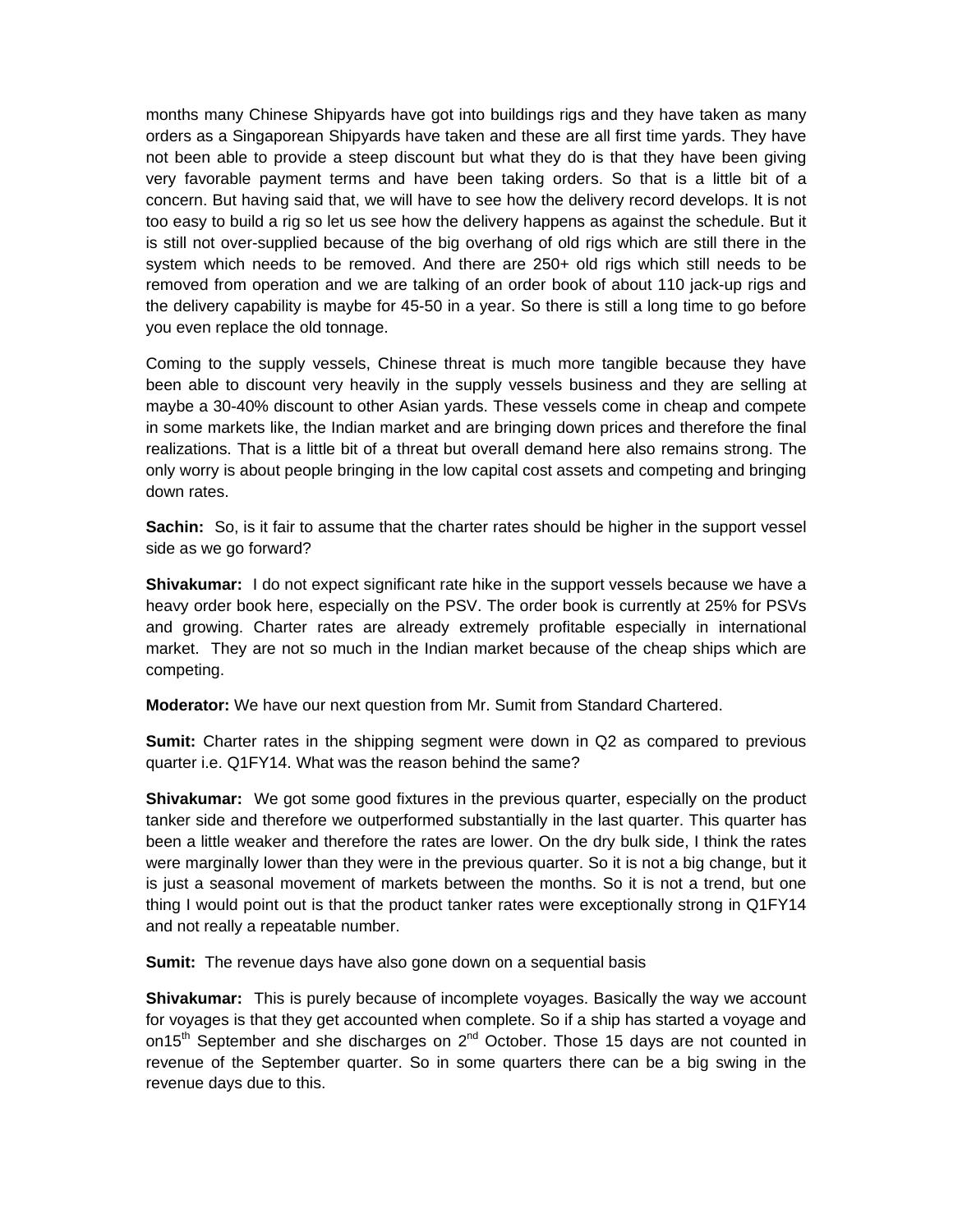months many Chinese Shipyards have got into buildings rigs and they have taken as many orders as a Singaporean Shipyards have taken and these are all first time yards. They have not been able to provide a steep discount but what they do is that they have been giving very favorable payment terms and have been taking orders. So that is a little bit of a concern. But having said that, we will have to see how the delivery record develops. It is not too easy to build a rig so let us see how the delivery happens as against the schedule. But it is still not over-supplied because of the big overhang of old rigs which are still there in the system which needs to be removed. And there are 250+ old rigs which still needs to be removed from operation and we are talking of an order book of about 110 jack-up rigs and the delivery capability is maybe for 45-50 in a year. So there is still a long time to go before you even replace the old tonnage.

Coming to the supply vessels, Chinese threat is much more tangible because they have been able to discount very heavily in the supply vessels business and they are selling at maybe a 30-40% discount to other Asian yards. These vessels come in cheap and compete in some markets like, the Indian market and are bringing down prices and therefore the final realizations. That is a little bit of a threat but overall demand here also remains strong. The only worry is about people bringing in the low capital cost assets and competing and bringing down rates.

**Sachin:** So, is it fair to assume that the charter rates should be higher in the support vessel side as we go forward?

**Shivakumar:** I do not expect significant rate hike in the support vessels because we have a heavy order book here, especially on the PSV. The order book is currently at 25% for PSVs and growing. Charter rates are already extremely profitable especially in international market. They are not so much in the Indian market because of the cheap ships which are competing.

**Moderator:** We have our next question from Mr. Sumit from Standard Chartered.

**Sumit:** Charter rates in the shipping segment were down in Q2 as compared to previous quarter i.e. Q1FY14. What was the reason behind the same?

**Shivakumar:** We got some good fixtures in the previous quarter, especially on the product tanker side and therefore we outperformed substantially in the last quarter. This quarter has been a little weaker and therefore the rates are lower. On the dry bulk side, I think the rates were marginally lower than they were in the previous quarter. So it is not a big change, but it is just a seasonal movement of markets between the months. So it is not a trend, but one thing I would point out is that the product tanker rates were exceptionally strong in Q1FY14 and not really a repeatable number.

**Sumit:** The revenue days have also gone down on a sequential basis

**Shivakumar:** This is purely because of incomplete voyages. Basically the way we account for voyages is that they get accounted when complete. So if a ship has started a voyage and on15<sup>th</sup> September and she discharges on  $2<sup>nd</sup>$  October. Those 15 days are not counted in revenue of the September quarter. So in some quarters there can be a big swing in the revenue days due to this.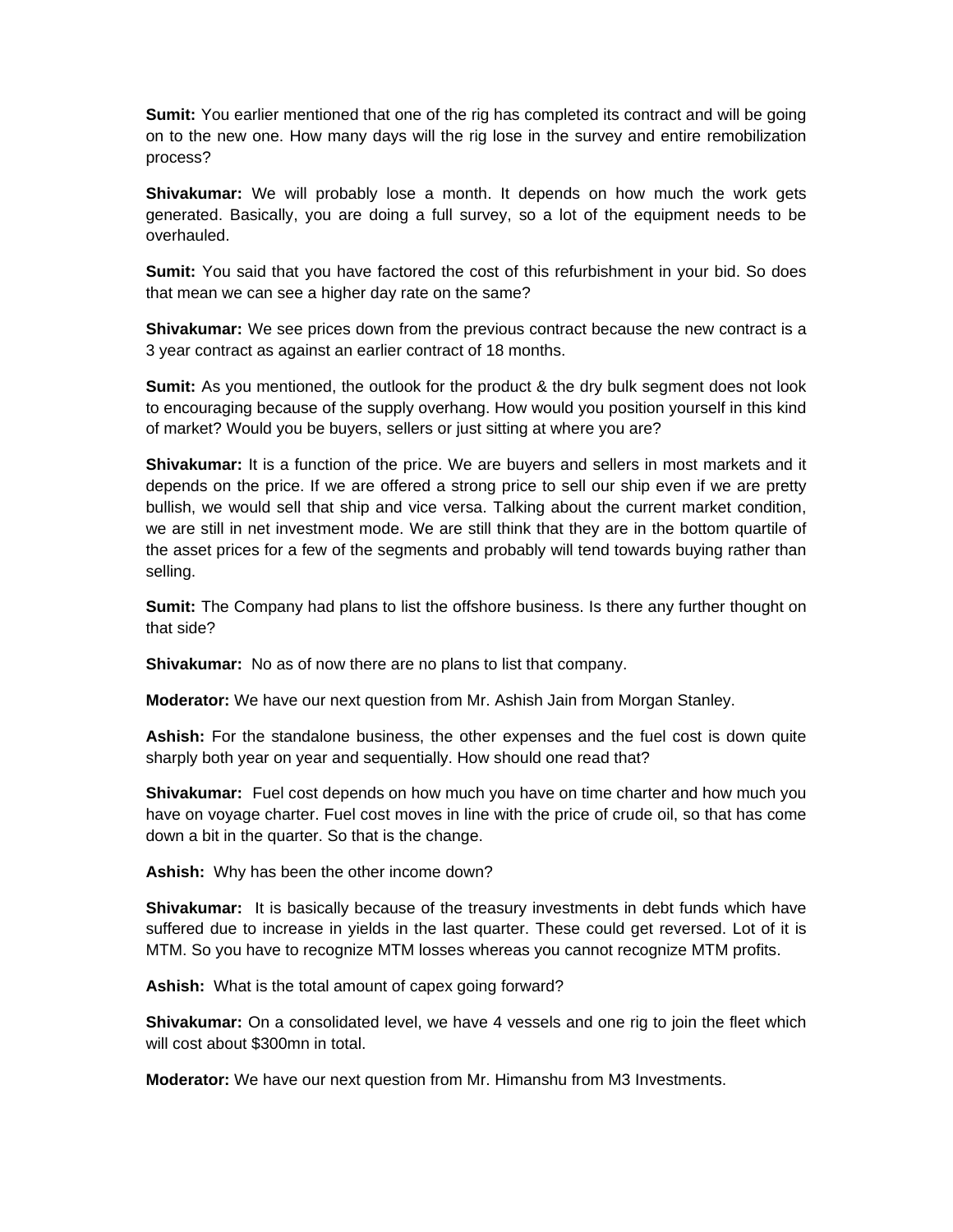**Sumit:** You earlier mentioned that one of the rig has completed its contract and will be going on to the new one. How many days will the rig lose in the survey and entire remobilization process?

**Shivakumar:** We will probably lose a month. It depends on how much the work gets generated. Basically, you are doing a full survey, so a lot of the equipment needs to be overhauled.

**Sumit:** You said that you have factored the cost of this refurbishment in your bid. So does that mean we can see a higher day rate on the same?

**Shivakumar:** We see prices down from the previous contract because the new contract is a 3 year contract as against an earlier contract of 18 months.

**Sumit:** As you mentioned, the outlook for the product & the dry bulk segment does not look to encouraging because of the supply overhang. How would you position yourself in this kind of market? Would you be buyers, sellers or just sitting at where you are?

**Shivakumar:** It is a function of the price. We are buyers and sellers in most markets and it depends on the price. If we are offered a strong price to sell our ship even if we are pretty bullish, we would sell that ship and vice versa. Talking about the current market condition, we are still in net investment mode. We are still think that they are in the bottom quartile of the asset prices for a few of the segments and probably will tend towards buying rather than selling.

**Sumit:** The Company had plans to list the offshore business. Is there any further thought on that side?

**Shivakumar:** No as of now there are no plans to list that company.

**Moderator:** We have our next question from Mr. Ashish Jain from Morgan Stanley.

**Ashish:** For the standalone business, the other expenses and the fuel cost is down quite sharply both year on year and sequentially. How should one read that?

**Shivakumar:** Fuel cost depends on how much you have on time charter and how much you have on voyage charter. Fuel cost moves in line with the price of crude oil, so that has come down a bit in the quarter. So that is the change.

**Ashish:** Why has been the other income down?

**Shivakumar:** It is basically because of the treasury investments in debt funds which have suffered due to increase in yields in the last quarter. These could get reversed. Lot of it is MTM. So you have to recognize MTM losses whereas you cannot recognize MTM profits.

**Ashish:** What is the total amount of capex going forward?

**Shivakumar:** On a consolidated level, we have 4 vessels and one rig to join the fleet which will cost about \$300mn in total.

**Moderator:** We have our next question from Mr. Himanshu from M3 Investments.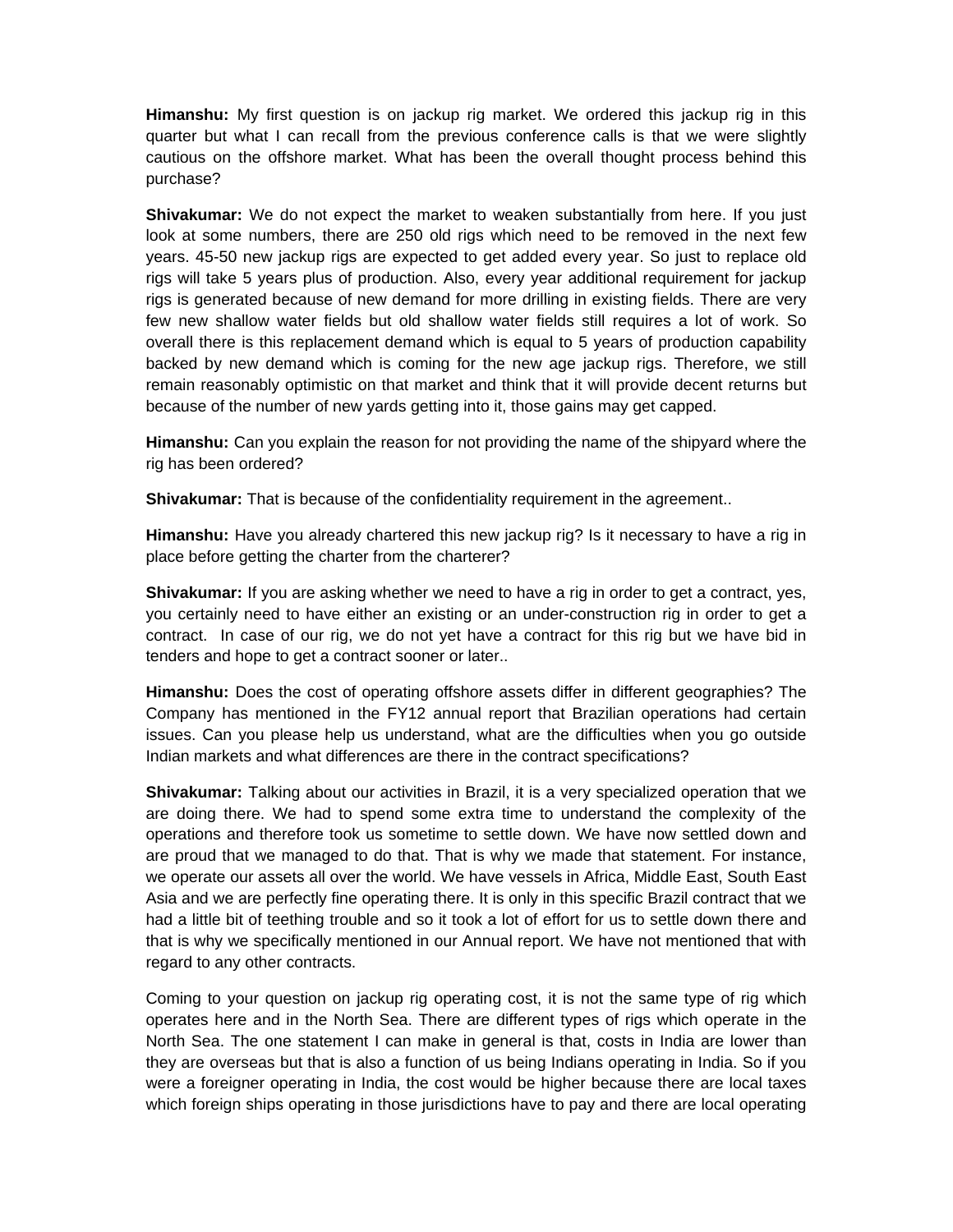**Himanshu:** My first question is on jackup rig market. We ordered this jackup rig in this quarter but what I can recall from the previous conference calls is that we were slightly cautious on the offshore market. What has been the overall thought process behind this purchase?

**Shivakumar:** We do not expect the market to weaken substantially from here. If you just look at some numbers, there are 250 old rigs which need to be removed in the next few years. 45-50 new jackup rigs are expected to get added every year. So just to replace old rigs will take 5 years plus of production. Also, every year additional requirement for jackup rigs is generated because of new demand for more drilling in existing fields. There are very few new shallow water fields but old shallow water fields still requires a lot of work. So overall there is this replacement demand which is equal to 5 years of production capability backed by new demand which is coming for the new age jackup rigs. Therefore, we still remain reasonably optimistic on that market and think that it will provide decent returns but because of the number of new yards getting into it, those gains may get capped.

**Himanshu:** Can you explain the reason for not providing the name of the shipyard where the rig has been ordered?

**Shivakumar:** That is because of the confidentiality requirement in the agreement..

**Himanshu:** Have you already chartered this new jackup rig? Is it necessary to have a rig in place before getting the charter from the charterer?

**Shivakumar:** If you are asking whether we need to have a rig in order to get a contract, yes, you certainly need to have either an existing or an under-construction rig in order to get a contract. In case of our rig, we do not yet have a contract for this rig but we have bid in tenders and hope to get a contract sooner or later..

**Himanshu:** Does the cost of operating offshore assets differ in different geographies? The Company has mentioned in the FY12 annual report that Brazilian operations had certain issues. Can you please help us understand, what are the difficulties when you go outside Indian markets and what differences are there in the contract specifications?

**Shivakumar:** Talking about our activities in Brazil, it is a very specialized operation that we are doing there. We had to spend some extra time to understand the complexity of the operations and therefore took us sometime to settle down. We have now settled down and are proud that we managed to do that. That is why we made that statement. For instance, we operate our assets all over the world. We have vessels in Africa, Middle East, South East Asia and we are perfectly fine operating there. It is only in this specific Brazil contract that we had a little bit of teething trouble and so it took a lot of effort for us to settle down there and that is why we specifically mentioned in our Annual report. We have not mentioned that with regard to any other contracts.

Coming to your question on jackup rig operating cost, it is not the same type of rig which operates here and in the North Sea. There are different types of rigs which operate in the North Sea. The one statement I can make in general is that, costs in India are lower than they are overseas but that is also a function of us being Indians operating in India. So if you were a foreigner operating in India, the cost would be higher because there are local taxes which foreign ships operating in those jurisdictions have to pay and there are local operating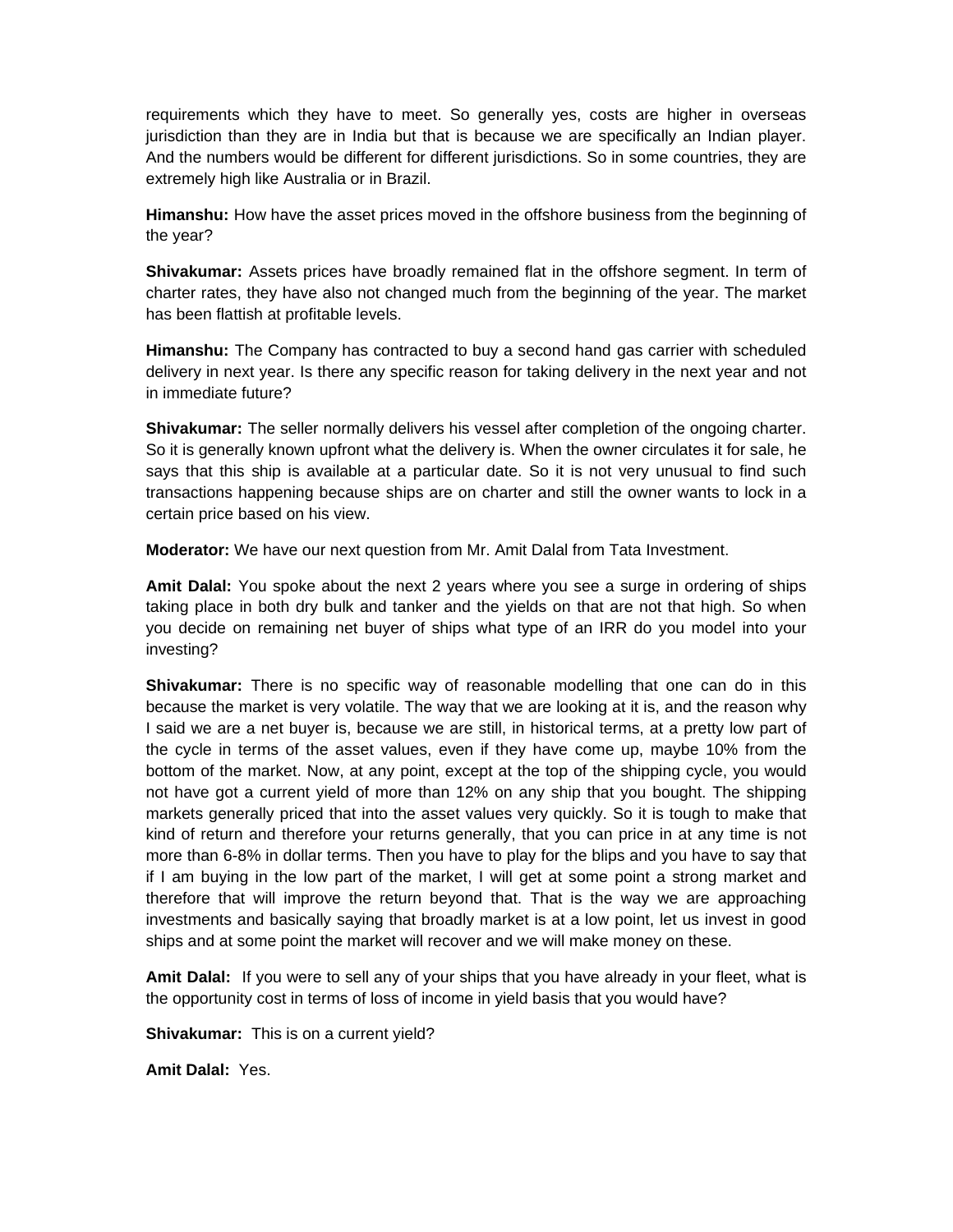requirements which they have to meet. So generally yes, costs are higher in overseas jurisdiction than they are in India but that is because we are specifically an Indian player. And the numbers would be different for different jurisdictions. So in some countries, they are extremely high like Australia or in Brazil.

**Himanshu:** How have the asset prices moved in the offshore business from the beginning of the year?

**Shivakumar:** Assets prices have broadly remained flat in the offshore segment. In term of charter rates, they have also not changed much from the beginning of the year. The market has been flattish at profitable levels.

**Himanshu:** The Company has contracted to buy a second hand gas carrier with scheduled delivery in next year. Is there any specific reason for taking delivery in the next year and not in immediate future?

**Shivakumar:** The seller normally delivers his vessel after completion of the ongoing charter. So it is generally known upfront what the delivery is. When the owner circulates it for sale, he says that this ship is available at a particular date. So it is not very unusual to find such transactions happening because ships are on charter and still the owner wants to lock in a certain price based on his view.

**Moderator:** We have our next question from Mr. Amit Dalal from Tata Investment.

**Amit Dalal:** You spoke about the next 2 years where you see a surge in ordering of ships taking place in both dry bulk and tanker and the yields on that are not that high. So when you decide on remaining net buyer of ships what type of an IRR do you model into your investing?

**Shivakumar:** There is no specific way of reasonable modelling that one can do in this because the market is very volatile. The way that we are looking at it is, and the reason why I said we are a net buyer is, because we are still, in historical terms, at a pretty low part of the cycle in terms of the asset values, even if they have come up, maybe 10% from the bottom of the market. Now, at any point, except at the top of the shipping cycle, you would not have got a current yield of more than 12% on any ship that you bought. The shipping markets generally priced that into the asset values very quickly. So it is tough to make that kind of return and therefore your returns generally, that you can price in at any time is not more than 6-8% in dollar terms. Then you have to play for the blips and you have to say that if I am buying in the low part of the market, I will get at some point a strong market and therefore that will improve the return beyond that. That is the way we are approaching investments and basically saying that broadly market is at a low point, let us invest in good ships and at some point the market will recover and we will make money on these.

**Amit Dalal:** If you were to sell any of your ships that you have already in your fleet, what is the opportunity cost in terms of loss of income in yield basis that you would have?

**Shivakumar:** This is on a current yield?

**Amit Dalal:** Yes.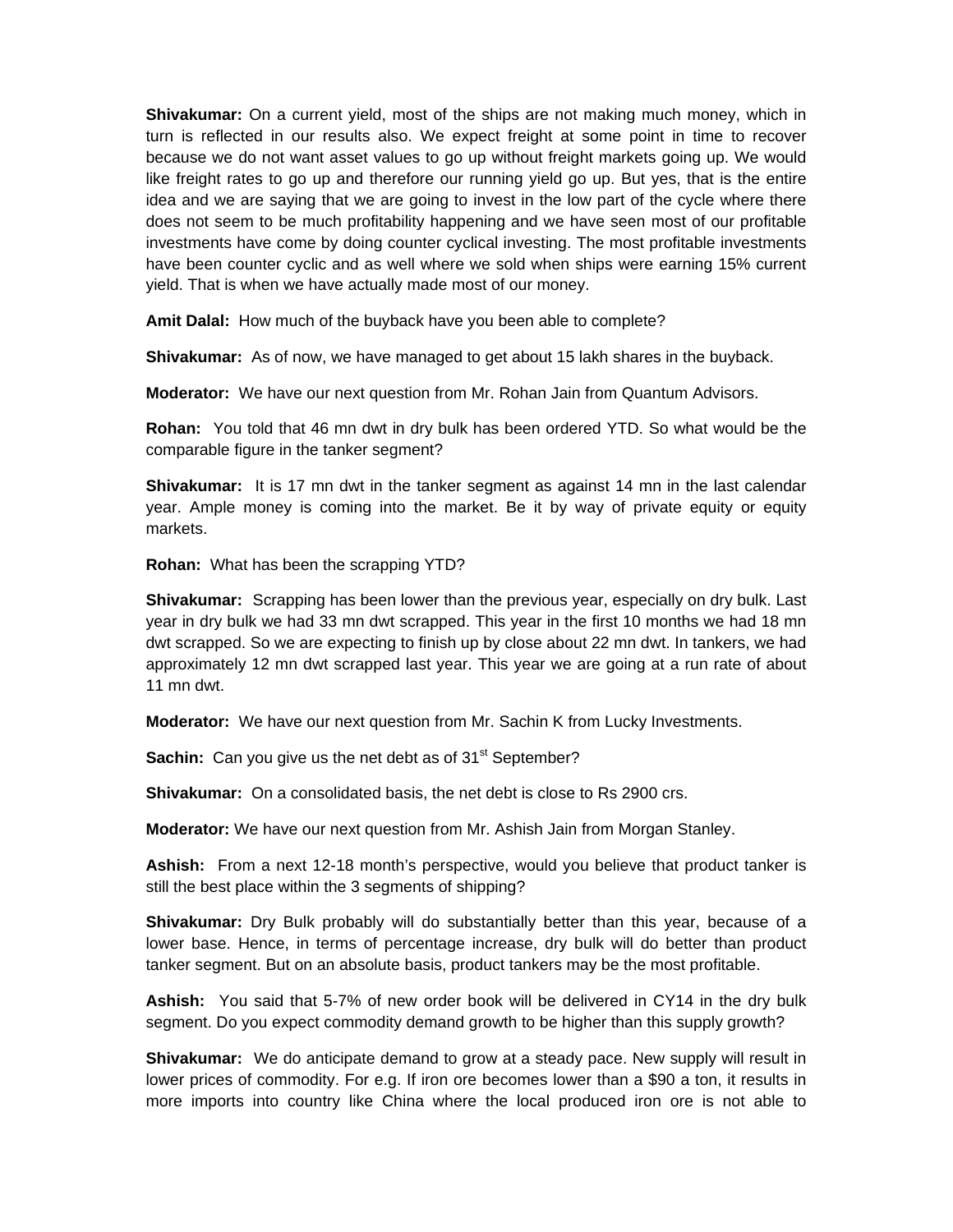**Shivakumar:** On a current yield, most of the ships are not making much money, which in turn is reflected in our results also. We expect freight at some point in time to recover because we do not want asset values to go up without freight markets going up. We would like freight rates to go up and therefore our running yield go up. But yes, that is the entire idea and we are saying that we are going to invest in the low part of the cycle where there does not seem to be much profitability happening and we have seen most of our profitable investments have come by doing counter cyclical investing. The most profitable investments have been counter cyclic and as well where we sold when ships were earning 15% current yield. That is when we have actually made most of our money.

**Amit Dalal:** How much of the buyback have you been able to complete?

**Shivakumar:** As of now, we have managed to get about 15 lakh shares in the buyback.

**Moderator:** We have our next question from Mr. Rohan Jain from Quantum Advisors.

**Rohan:** You told that 46 mn dwt in dry bulk has been ordered YTD. So what would be the comparable figure in the tanker segment?

**Shivakumar:** It is 17 mn dwt in the tanker segment as against 14 mn in the last calendar year. Ample money is coming into the market. Be it by way of private equity or equity markets.

**Rohan:** What has been the scrapping YTD?

**Shivakumar:** Scrapping has been lower than the previous year, especially on dry bulk. Last year in dry bulk we had 33 mn dwt scrapped. This year in the first 10 months we had 18 mn dwt scrapped. So we are expecting to finish up by close about 22 mn dwt. In tankers, we had approximately 12 mn dwt scrapped last year. This year we are going at a run rate of about 11 mn dwt.

**Moderator:** We have our next question from Mr. Sachin K from Lucky Investments.

**Sachin:** Can you give us the net debt as of 31<sup>st</sup> September?

**Shivakumar:** On a consolidated basis, the net debt is close to Rs 2900 crs.

**Moderator:** We have our next question from Mr. Ashish Jain from Morgan Stanley.

**Ashish:** From a next 12-18 month's perspective, would you believe that product tanker is still the best place within the 3 segments of shipping?

**Shivakumar:** Dry Bulk probably will do substantially better than this year, because of a lower base. Hence, in terms of percentage increase, dry bulk will do better than product tanker segment. But on an absolute basis, product tankers may be the most profitable.

**Ashish:** You said that 5-7% of new order book will be delivered in CY14 in the dry bulk segment. Do you expect commodity demand growth to be higher than this supply growth?

**Shivakumar:** We do anticipate demand to grow at a steady pace. New supply will result in lower prices of commodity. For e.g. If iron ore becomes lower than a \$90 a ton, it results in more imports into country like China where the local produced iron ore is not able to